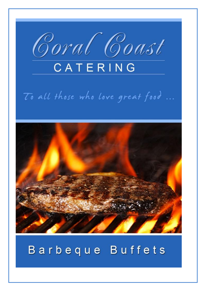

# To all those who love great food ...



# Barbeque Buffets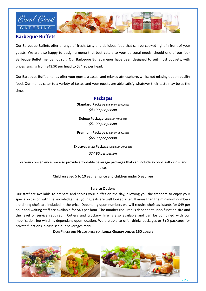

# **Barbeque Buffets**

Our Barbeque Buffets offer a range of fresh, tasty and delicious food that can be cooked right in front of your guests. We are also happy to design a menu that best caters to your personal needs, should one of our four Barbeque Buffet menus not suit. Our Barbeque Buffet menus have been designed to suit most budgets, with prices ranging from \$43.90 per head to \$74.90 per head.

Our Barbeque Buffet menus offer your guests a casual and relaxed atmosphere, whilst not missing out on quality food. Our menus cater to a variety of tastes and your guests are able satisfy whatever their taste may be at the time.

# **Packages**

**Standard Package** Minimum 50 Guests *\$43.90 per person*

**Deluxe Package** Minimum 40 Guests *\$51.90 per person*

**Premium Package** Minimum 35 Guests *\$66.90 per person*

**Extravaganza Package** Minimum 30 Guests

*\$74.90 per person*

For your convenience, we also provide affordable beverage packages that can include alcohol, soft drinks and juices

Children aged 5 to 10 eat half price and children under 5 eat free

# **Service Options**

Our staff are available to prepare and serves your buffet on the day, allowing you the freedom to enjoy your special occasion with the knowledge that your guests are well looked after. If more than the minimum numbers are dining chefs are included in the price. Depending upon numbers we will require chefs assistants for \$49 per hour and waiting staff are available for \$49 per hour. The number required is dependent upon function size and the level of service required. Cutlery and crockery hire is also available and can be combined with our mobilisation fee which is dependant upon location. We are able to offer drinks packages or BYO packages for private functions, please see our beverages menu.

**OUR PRICES ARE NEGOTIABLE FOR LARGE GROUPS ABOVE 150 GUESTS**

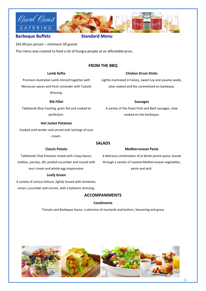



# **Barbeque Buffets** Standard Menu

*\$43.90 per person – minimum 50 guests*

This menu was created to feed a lot of hungry people at an affordable price.

# **FROM THE BBQ**

### **Lamb Kofte**

# **Chicken Drum Sticks**

Lightly marinated in honey, sweet soy and sesame seeds, slow cooked and the caramelised on barbeque.

**Sausages** A variety of the finest Pork and Beef sausages, slow cooked on the barbeque.

Premium Australian Lamb minced together with Moroccan spices and fresh coriander with Tzatziki dressing.

**Rib Fillet**

Tablelands Blue Yearling, grain fed and cooked to perfection.

### **Hot Jacket Potatoes**

Cooked until tender and served with lashings of sour cream.

**Classic Potato**

# **SALADS**

# **Mediterranean Pasta**

A delicious combination of al dente penne pasta, tossed through a variety of roasted Mediterranean vegetables, pesto and aioli.

Tablelands Chat Potatoes mixed with crispy bacon, shallots, parsley, dill, pickled cucumber and tossed with sour cream and whole egg mayonnaise.

### **Leafy Green**

A variety of various lettuce, lightly tossed with tomatoes, onion, cucumber and carrots, with a balsamic dressing.

.

# **ACCOMPANIMENTS**

### **Condiments**

Tomato and Barbeque Sauce, a selection of mustards and butters, Seasoning and gravy

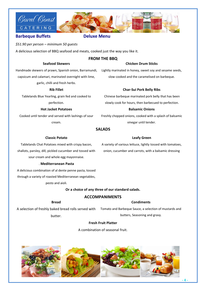



# **Barbeque Buffets Communication Construction Deluxe Menu**

*\$51.90 per person – minimum 50 guests*

A delicious selection of BBQ seafood and meats, cooked just the way you like it.

# **Seafood Skewers**

# **FROM THE BBQ**

# **Chicken Drum Sticks**

Handmade skewers of prawn, Spanish onion, Barramundi, Lightly marinated in honey, sweet soy and sesame seeds, capsicum and calamari, marinated overnight with lime, garlic, chilli and fresh herbs.

#### **Rib Fillet**

Tablelands Blue Yearling, grain fed and cooked to

perfection.

#### **Hot Jacket Potatoes**

Cooked until tender and served with lashings of sour cream.

slow cooked and the caramelised on barbeque.

# **Char-Sui Pork Belly Ribs**

Chinese barbeque marinated pork belly that has been slowly cook for hours, then barbecued to perfection. **Balsamic Onions**

Freshly chopped onions, cooked with a splash of balsamic vinegar until tender.

# **SALADS**

### **Classic Potato**

Tablelands Chat Potatoes mixed with crispy bacon, shallots, parsley, dill, pickled cucumber and tossed with sour cream and whole egg mayonnaise.

### . **Mediterranean Pasta**

A delicious combination of al dente penne pasta, tossed

through a variety of roasted Mediterranean vegetables,

pesto and aioli.

# **Or a choice of any three of our standard salads.**

# **ACCOMPANIMENTS**

**Bread**

# **Condiments**

A selection of freshly baked bread rolls served with Tomato and Barbeque Sauce, a selection of mustards and butter.

butters, Seasoning and gravy.

# **Fresh Fruit Platter**

A combination of seasonal fruit.



**Leafy Green** A variety of various lettuce, lightly tossed with tomatoes, onion, cucumber and carrots, with a balsamic dressing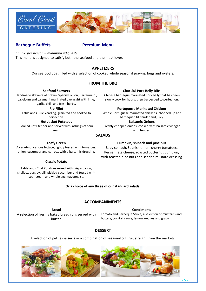

# **Barbeque Buffets Fig. 2018 Premium Menu**

*\$66.90 per person – minimum 40 guests* This menu is designed to satisfy both the seafood and the meat lover.

# **APPETIZERS**

Our seafood boat filled with a selection of cooked whole seasonal prawns, bugs and oysters.

# **FROM THE BBQ**

#### **Seafood Skewers**

Handmade skewers of prawn, Spanish onion, Barramundi, capsicum and calamari, marinated overnight with lime, garlic, chilli and fresh herbs.

**Rib Fillet**

Tablelands Blue Yearling, grain fed and cooked to perfection.

**Hot Jacket Potatoes**

Cooked until tender and served with lashings of sour cream.

#### **Char-Sui Pork Belly Ribs**

Chinese barbeque marinated pork belly that has been slowly cook for hours, then barbecued to perfection.

### **Portuguese Marinated Chicken**

Whole Portuguese marinated chickens, chopped up and barbequed till tender and juicy. **Balsamic Onions**

Freshly chopped onions, cooked with balsamic vinegar until tender.

# **SALADS**

#### **Leafy Green**

A variety of various lettuce, lightly tossed with tomatoes, onion, cucumber and carrots, with a balsamic dressing.

### **Classic Potato**

Tablelands Chat Potatoes mixed with crispy bacon, shallots, parsley, dill, pickled cucumber and tossed with sour cream and whole egg mayonnaise.

# **Or a choice of any three of our standard salads.**

# **ACCOMPANIMENTS**

**Bread** A selection of freshly baked bread rolls served with butter.

**Condiments** Tomato and Barbeque Sauce, a selection of mustards and butters, cocktail sauce, lemon wedges and gravy.

# **DESSERT**

A selection of petite desserts or a combination of seasonal cut fruit straight from the markets.



**Pumpkin, spinach and pine nut** Baby spinach, Spanish onion, cherry tomatoes, Persian feta cheese, roasted butternut pumpkin, with toasted pine nuts and seeded mustard dressing